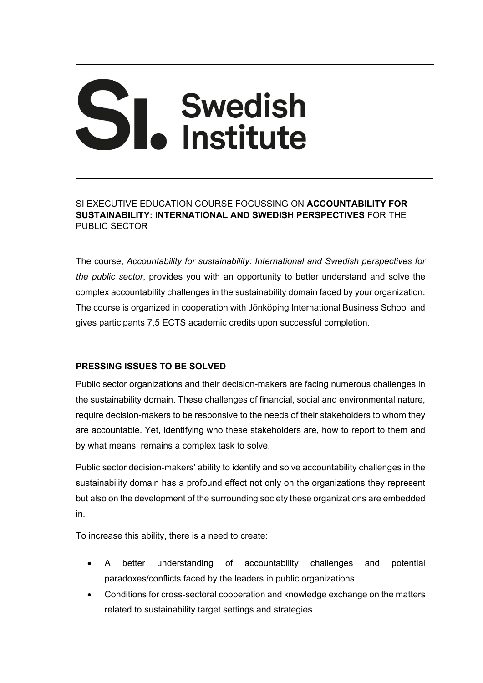# SI. Swedish

SI EXECUTIVE EDUCATION COURSE FOCUSSING ON **ACCOUNTABILITY FOR SUSTAINABILITY: INTERNATIONAL AND SWEDISH PERSPECTIVES** FOR THE PUBLIC SECTOR

The course, *Accountability for sustainability: International and Swedish perspectives for the public sector*, provides you with an opportunity to better understand and solve the complex accountability challenges in the sustainability domain faced by your organization. The course is organized in cooperation with Jönköping International Business School and gives participants 7,5 ECTS academic credits upon successful completion.

# **PRESSING ISSUES TO BE SOLVED**

Public sector organizations and their decision-makers are facing numerous challenges in the sustainability domain. These challenges of financial, social and environmental nature, require decision-makers to be responsive to the needs of their stakeholders to whom they are accountable. Yet, identifying who these stakeholders are, how to report to them and by what means, remains a complex task to solve.

Public sector decision-makers' ability to identify and solve accountability challenges in the sustainability domain has a profound effect not only on the organizations they represent but also on the development of the surrounding society these organizations are embedded in.

To increase this ability, there is a need to create:

- A better understanding of accountability challenges and potential paradoxes/conflicts faced by the leaders in public organizations.
- Conditions for cross-sectoral cooperation and knowledge exchange on the matters related to sustainability target settings and strategies.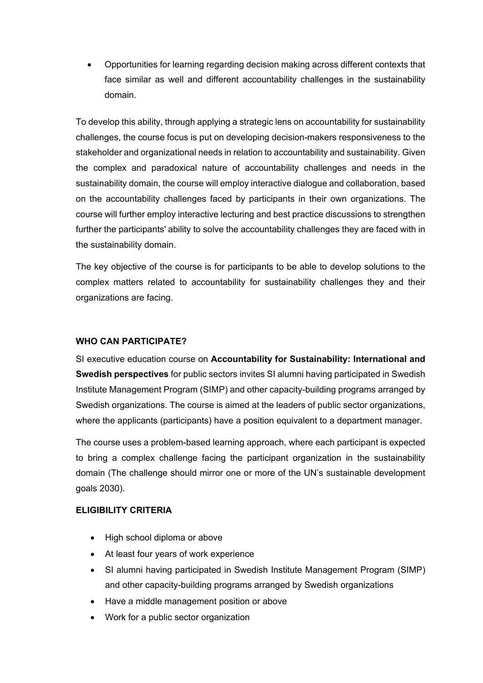Opportunities for learning regarding decision making across different contexts that face similar as well and different accountability challenges in the sustainability domain.

To develop this ability, through applying a strategic lens on accountability for sustainability challenges, the course focus is put on developing decision-makers responsiveness to the stakeholder and organizational needs in relation to accountability and sustainability. Given the complex and paradoxical nature of accountability challenges and needs in the sustainability domain, the course will employ interactive dialogue and collaboration, based on the accountability challenges faced by participants in their own organizations. The course will further employ interactive lecturing and best practice discussions to strengthen further the participants' ability to solve the accountability challenges they are faced with in the sustainability domain.

The key objective of the course is for participants to be able to develop solutions to the complex matters related to accountability for sustainability challenges they and their organizations are facing.

## **WHO CAN PARTICIPATE?**

SI executive education course on **Accountability for Sustainability: International and Swedish perspectives** for public sectors invites SI alumni having participated in Swedish Institute Management Program (SIMP) and other capacity-building programs arranged by Swedish organizations. The course is aimed at the leaders of public sector organizations, where the applicants (participants) have a position equivalent to a department manager.

The course uses a problem-based learning approach, where each participant is expected to bring a complex challenge facing the participant organization in the sustainability domain (The challenge should mirror one or more of the UN's sustainable development goals 2030).

#### **ELIGIBILITY CRITERIA**

- High school diploma or above
- At least four years of work experience
- SI alumni having participated in Swedish Institute Management Program (SIMP) and other capacity-building programs arranged by Swedish organizations
- Have a middle management position or above
- Work for a public sector organization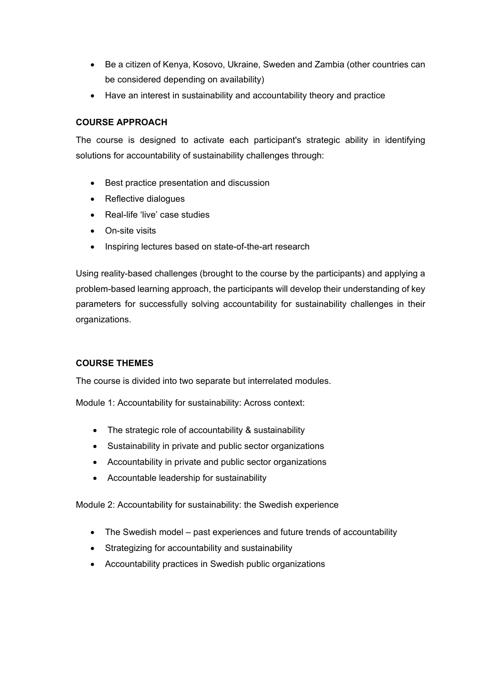- Be a citizen of Kenya, Kosovo, Ukraine, Sweden and Zambia (other countries can be considered depending on availability)
- Have an interest in sustainability and accountability theory and practice

# **COURSE APPROACH**

The course is designed to activate each participant's strategic ability in identifying solutions for accountability of sustainability challenges through:

- Best practice presentation and discussion
- Reflective dialogues
- Real-life 'live' case studies
- **•** On-site visits
- Inspiring lectures based on state-of-the-art research

Using reality-based challenges (brought to the course by the participants) and applying a problem-based learning approach, the participants will develop their understanding of key parameters for successfully solving accountability for sustainability challenges in their organizations.

# **COURSE THEMES**

The course is divided into two separate but interrelated modules.

Module 1: Accountability for sustainability: Across context:

- The strategic role of accountability & sustainability
- Sustainability in private and public sector organizations
- Accountability in private and public sector organizations
- Accountable leadership for sustainability

Module 2: Accountability for sustainability: the Swedish experience

- The Swedish model past experiences and future trends of accountability
- Strategizing for accountability and sustainability
- Accountability practices in Swedish public organizations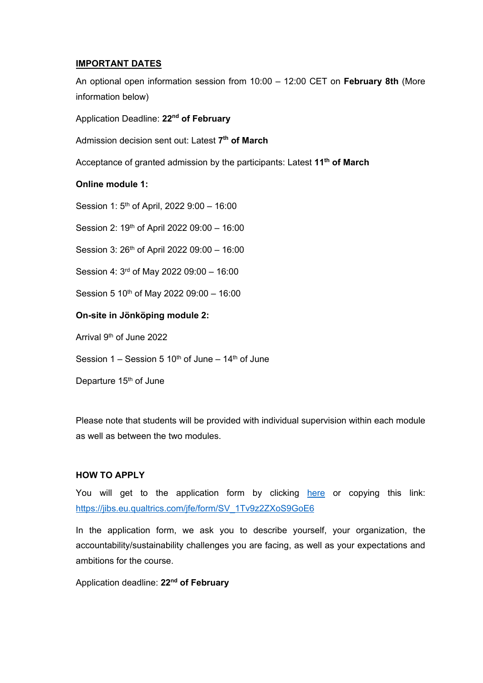#### **IMPORTANT DATES**

An optional open information session from 10:00 – 12:00 CET on **February 8th** (More information below)

Application Deadline: **22nd of February**

Admission decision sent out: Latest **7th of March**

Acceptance of granted admission by the participants: Latest **11th of March**

## **Online module 1:**

Session 1: 5<sup>th</sup> of April, 2022 9:00 - 16:00

Session 2: 19<sup>th</sup> of April 2022 09:00 - 16:00

Session 3: 26<sup>th</sup> of April 2022 09:00 - 16:00

Session 4: 3rd of May 2022 09:00 – 16:00

Session 5 10<sup>th</sup> of May 2022 09:00 - 16:00

## **On-site in Jönköping module 2:**

Arrival 9th of June 2022

Session  $1 -$  Session 5 10<sup>th</sup> of June – 14<sup>th</sup> of June

Departure 15<sup>th</sup> of June

Please note that students will be provided with individual supervision within each module as well as between the two modules.

#### **HOW TO APPLY**

You will get to the application form by clicking here or copying this link: https://jibs.eu.qualtrics.com/jfe/form/SV\_1Tv9z2ZXoS9GoE6

In the application form, we ask you to describe yourself, your organization, the accountability/sustainability challenges you are facing, as well as your expectations and ambitions for the course.

Application deadline: **22nd of February**